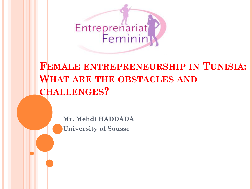

# **FEMALE ENTREPRENEURSHIP IN TUNISIA: WHAT ARE THE OBSTACLES AND CHALLENGES?**

**Mr. Mehdi HADDADA University of Sousse**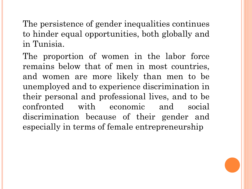The persistence of gender inequalities continues to hinder equal opportunities, both globally and in Tunisia.

The proportion of women in the labor force remains below that of men in most countries, and women are more likely than men to be unemployed and to experience discrimination in their personal and professional lives, and to be confronted with economic and social discrimination because of their gender and especially in terms of female entrepreneurship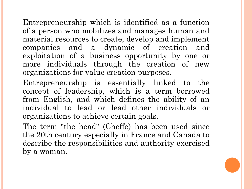Entrepreneurship which is identified as a function of a person who mobilizes and manages human and material resources to create, develop and implement companies and a dynamic of creation and exploitation of a business opportunity by one or more individuals through the creation of new organizations for value creation purposes.

Entrepreneurship is essentially linked to the concept of leadership, which is a term borrowed from English, and which defines the ability of an individual to lead or lead other individuals or organizations to achieve certain goals.

The term "the head" (Cheffe) has been used since the 20th century especially in France and Canada to describe the responsibilities and authority exercised by a woman.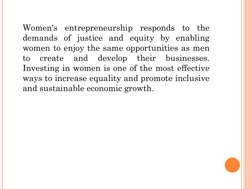Women's entrepreneurship responds to the demands of justice and equity by enabling women to enjoy the same opportunities as men to create and develop their businesses. Investing in women is one of the most effective ways to increase equality and promote inclusive and sustainable economic growth.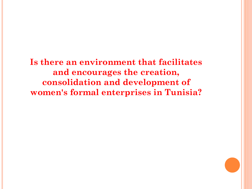**Is there an environment that facilitates and encourages the creation, consolidation and development of women's formal enterprises in Tunisia?**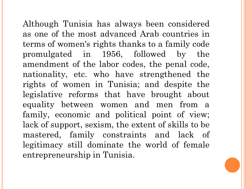Although Tunisia has always been considered as one of the most advanced Arab countries in terms of women's rights thanks to a family code promulgated in 1956, followed by the amendment of the labor codes, the penal code, nationality, etc. who have strengthened the rights of women in Tunisia; and despite the legislative reforms that have brought about equality between women and men from a family, economic and political point of view; lack of support, sexism, the extent of skills to be mastered, family constraints and lack of legitimacy still dominate the world of female entrepreneurship in Tunisia.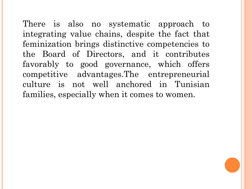There is also no systematic approach to integrating value chains, despite the fact that feminization brings distinctive competencies to the Board of Directors, and it contributes favorably to good governance, which offers competitive advantages.The entrepreneurial culture is not well anchored in Tunisian families, especially when it comes to women.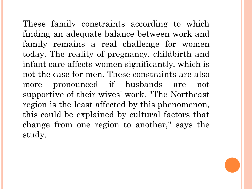These family constraints according to which finding an adequate balance between work and family remains a real challenge for women today. The reality of pregnancy, childbirth and infant care affects women significantly, which is not the case for men. These constraints are also more pronounced if husbands are not supportive of their wives' work. "The Northeast region is the least affected by this phenomenon, this could be explained by cultural factors that change from one region to another," says the study.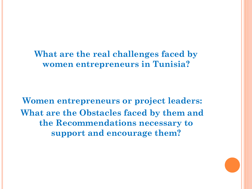**What are the real challenges faced by women entrepreneurs in Tunisia?** 

**Women entrepreneurs or project leaders: What are the Obstacles faced by them and the Recommendations necessary to support and encourage them?**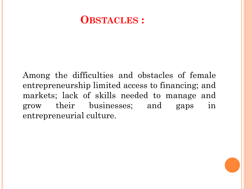# **OBSTACLES :**

Among the difficulties and obstacles of female entrepreneurship limited access to financing; and markets; lack of skills needed to manage and grow their businesses; and gaps in entrepreneurial culture.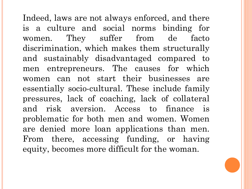Indeed, laws are not always enforced, and there is a culture and social norms binding for women. They suffer from de facto discrimination, which makes them structurally and sustainably disadvantaged compared to men entrepreneurs. The causes for which women can not start their businesses are essentially socio-cultural. These include family pressures, lack of coaching, lack of collateral and risk aversion. Access to finance is problematic for both men and women. Women are denied more loan applications than men. From there, accessing funding, or having equity, becomes more difficult for the woman.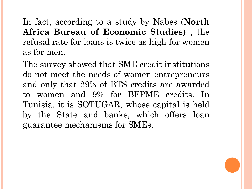In fact, according to a study by Nabes (**North Africa Bureau of Economic Studies)** , the refusal rate for loans is twice as high for women as for men.

The survey showed that SME credit institutions do not meet the needs of women entrepreneurs and only that 29% of BTS credits are awarded to women and 9% for BFPME credits. In Tunisia, it is SOTUGAR, whose capital is held by the State and banks, which offers loan guarantee mechanisms for SMEs.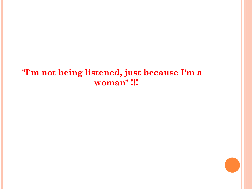### **"I'm not being listened, just because I'm a woman" !!!**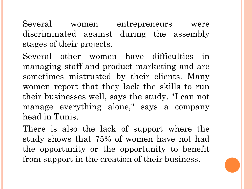Several women entrepreneurs were discriminated against during the assembly stages of their projects.

Several other women have difficulties in managing staff and product marketing and are sometimes mistrusted by their clients. Many women report that they lack the skills to run their businesses well, says the study. "I can not manage everything alone," says a company head in Tunis.

There is also the lack of support where the study shows that 75% of women have not had the opportunity or the opportunity to benefit from support in the creation of their business.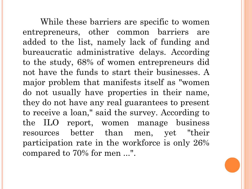While these barriers are specific to women entrepreneurs, other common barriers are added to the list, namely lack of funding and bureaucratic administrative delays. According to the study, 68% of women entrepreneurs did not have the funds to start their businesses. A major problem that manifests itself as "women do not usually have properties in their name, they do not have any real guarantees to present to receive a loan," said the survey. According to the ILO report, women manage business resources better than men, yet "their participation rate in the workforce is only 26% compared to 70% for men ...".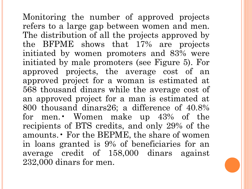Monitoring the number of approved projects refers to a large gap between women and men. The distribution of all the projects approved by the BFPME shows that 17% are projects initiated by women promoters and 83% were initiated by male promoters (see Figure 5). For approved projects, the average cost of an approved project for a woman is estimated at 568 thousand dinars while the average cost of an approved project for a man is estimated at 800 thousand dinars26; a difference of 40.8% for men.• Women make up 43% of the recipients of BTS credits, and only 29% of the amounts.• For the BEPME, the share of women in loans granted is 9% of beneficiaries for an average credit of 158,000 dinars against 232,000 dinars for men.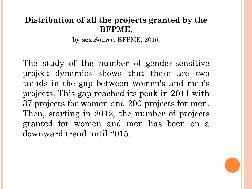### **Distribution of all the projects granted by the BFPME,**

**by sex.**Source: BFPME, 2015.

The study of the number of gender-sensitive project dynamics shows that there are two trends in the gap between women's and men's projects. This gap reached its peak in 2011 with 37 projects for women and 200 projects for men. Then, starting in 2012, the number of projects granted for women and men has been on a downward trend until 2015.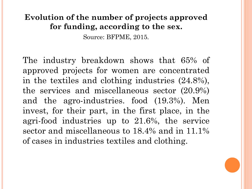### **Evolution of the number of projects approved for funding, according to the sex.**

Source: BFPME, 2015.

The industry breakdown shows that 65% of approved projects for women are concentrated in the textiles and clothing industries (24.8%), the services and miscellaneous sector (20.9%) and the agro-industries. food (19.3%). Men invest, for their part, in the first place, in the agri-food industries up to 21.6%, the service sector and miscellaneous to 18.4% and in 11.1% of cases in industries textiles and clothing.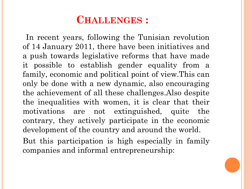## **CHALLENGES :**

In recent years, following the Tunisian revolution of 14 January 2011, there have been initiatives and a push towards legislative reforms that have made it possible to establish gender equality from a family, economic and political point of view.This can only be done with a new dynamic, also encouraging the achievement of all these challenges.Also despite the inequalities with women, it is clear that their motivations are not extinguished, quite the contrary, they actively participate in the economic development of the country and around the world. But this participation is high especially in family companies and informal entrepreneurship: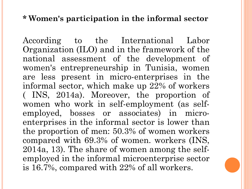#### **\* Women's participation in the informal sector**

According to the International Labor Organization (ILO) and in the framework of the national assessment of the development of women's entrepreneurship in Tunisia, women are less present in micro-enterprises in the informal sector, which make up 22% of workers ( INS, 2014a). Moreover, the proportion of women who work in self-employment (as selfemployed, bosses or associates) in microenterprises in the informal sector is lower than the proportion of men: 50.3% of women workers compared with 69.3% of women. workers (INS, 2014a, 13). The share of women among the selfemployed in the informal microenterprise sector is 16.7%, compared with 22% of all workers.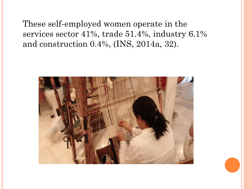These self-employed women operate in the services sector 41%, trade 51.4%, industry 6.1% and construction 0.4%, (INS, 2014a, 32).

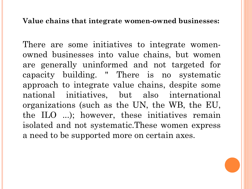#### **Value chains that integrate women-owned businesses:**

There are some initiatives to integrate womenowned businesses into value chains, but women are generally uninformed and not targeted for capacity building. " There is no systematic approach to integrate value chains, despite some national initiatives, but also international organizations (such as the UN, the WB, the EU, the ILO ...); however, these initiatives remain isolated and not systematic.These women express a need to be supported more on certain axes.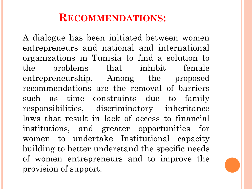# **RECOMMENDATIONS:**

A dialogue has been initiated between women entrepreneurs and national and international organizations in Tunisia to find a solution to the problems that inhibit female entrepreneurship. Among the proposed recommendations are the removal of barriers such as time constraints due to family responsibilities, discriminatory inheritance laws that result in lack of access to financial institutions, and greater opportunities for women to undertake Institutional capacity building to better understand the specific needs of women entrepreneurs and to improve the provision of support.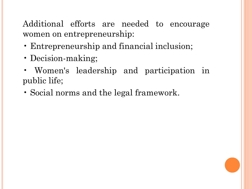### Additional efforts are needed to encourage women on entrepreneurship:

- Entrepreneurship and financial inclusion;
- Decision-making;
- Women's leadership and participation in public life;
- Social norms and the legal framework.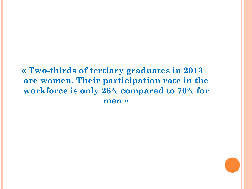### **« Two-thirds of tertiary graduates in 2013 are women. Their participation rate in the workforce is only 26% compared to 70% for men »**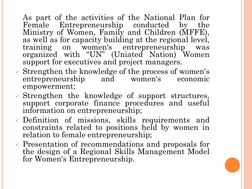As part of the activities of the National Plan for Female Entrepreneurship conducted by the Ministry of Women, Family and Children (MFFE), as well as for capacity building at the regional level, training on women's entrepreneurship was organized with "UN" (Uniated Nation) Women support for executives and project managers.

- $\checkmark$  Strengthen the knowledge of the process of women's entrepreneurship and women's economic empowerment;
- $\checkmark$  Strengthen the knowledge of support structures, support corporate finance procedures and useful information on entrepreneurship;
- ✓ Definition of missions, skills requirements and constraints related to positions held by women in relation to female entrepreneurship;
- ✓ Presentation of recommendations and proposals for the design of a Regional Skills Management Model for Women's Entrepreneurship.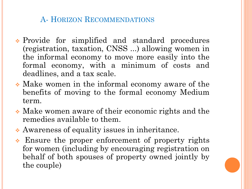### A- HORIZON RECOMMENDATIONS

- ❖ Provide for simplified and standard procedures (registration, taxation, CNSS ...) allowing women in the informal economy to move more easily into the formal economy, with a minimum of costs and deadlines, and a tax scale.
- ❖ Make women in the informal economy aware of the benefits of moving to the formal economy Medium term.
- ❖ Make women aware of their economic rights and the remedies available to them.
- ❖ Awareness of equality issues in inheritance.
- ❖ Ensure the proper enforcement of property rights for women (including by encouraging registration on behalf of both spouses of property owned jointly by the couple)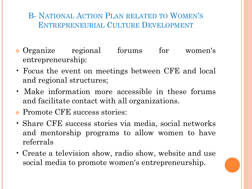### B- NATIONAL ACTION PLAN RELATED TO WOMEN'S ENTREPRENEURIAL CULTURE DEVELOPMENT

- ❖ Organize regional forums for women's entrepreneurship:
- Focus the event on meetings between CFE and local and regional structures;
- Make information more accessible in these forums and facilitate contact with all organizations.
- ❖ Promote CFE success stories:
- Share CFE success stories via media, social networks and mentorship programs to allow women to have referrals
- Create a television show, radio show, website and use social media to promote women's entrepreneurship.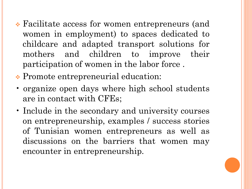- ❖ Facilitate access for women entrepreneurs (and women in employment) to spaces dedicated to childcare and adapted transport solutions for mothers and children to improve their participation of women in the labor force .
- ❖ Promote entrepreneurial education:
- organize open days where high school students are in contact with CFEs;
- Include in the secondary and university courses on entrepreneurship, examples / success stories of Tunisian women entrepreneurs as well as discussions on the barriers that women may encounter in entrepreneurship.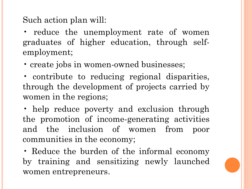Such action plan will:

• reduce the unemployment rate of women graduates of higher education, through selfemployment;

• create jobs in women-owned businesses;

• contribute to reducing regional disparities, through the development of projects carried by women in the regions;

• help reduce poverty and exclusion through the promotion of income-generating activities and the inclusion of women from poor communities in the economy;

• Reduce the burden of the informal economy by training and sensitizing newly launched women entrepreneurs.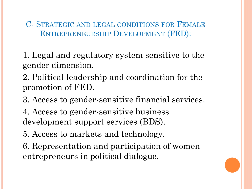C- STRATEGIC AND LEGAL CONDITIONS FOR FEMALE ENTREPRENEURSHIP DEVELOPMENT (FED):

1. Legal and regulatory system sensitive to the gender dimension.

2. Political leadership and coordination for the promotion of FED.

3. Access to gender-sensitive financial services.

4. Access to gender-sensitive business development support services (BDS).

5. Access to markets and technology.

6. Representation and participation of women entrepreneurs in political dialogue.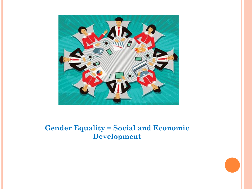

#### **Gender Equality = Social and Economic Development**